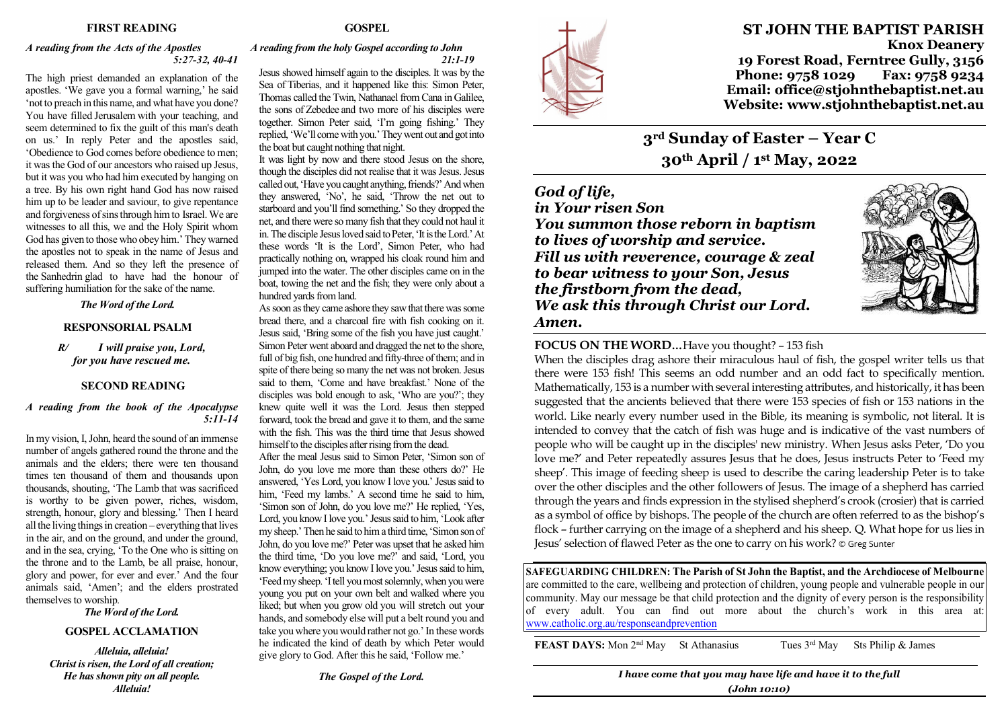#### *A reading from the Acts of the Apostles 5:27-32, 40-41*

The high priest demanded an explanation of the apostles. 'We gave you a formal warning,' he said 'not to preach in this name, and what have you done? You have filled Jerusalem with your teaching, and seem determined to fix the guilt of this man's death on us.' In reply Peter and the apostles said, 'Obedience to God comes before obedience to men; it was the God of our ancestors who raised up Jesus, but it was you who had him executed by hanging on a tree. By his own right hand God has now raised him up to be leader and saviour, to give repentance and forgiveness of sins through him to Israel. We are witnesses to all this, we and the Holy Spirit whom God has given to those who obey him.' They warned the apostles not to speak in the name of Jesus and released them. And so they left the presence of the Sanhedrin glad to have had the honour of suffering humiliation for the sake of the name.

# *The Word of the Lord.*

## **RESPONSORIAL PSALM**

*R/ I will praise you, Lord, for you have rescued me.* 

### **SECOND READING**

## *A reading from the book of the Apocalypse 5:11-14*

In my vision, I, John, heard the sound of an immense number of angels gathered round the throne and the animals and the elders; there were ten thousand times ten thousand of them and thousands upon thousands, shouting, 'The Lamb that was sacrificed is worthy to be given power, riches, wisdom, strength, honour, glory and blessing.' Then I heard all the living things in creation – everything that lives in the air, and on the ground, and under the ground, and in the sea, crying, 'To the One who is sitting on the throne and to the Lamb, be all praise, honour, glory and power, for ever and ever.' And the four animals said, 'Amen'; and the elders prostrated themselves to worship.

#### *The Word of the Lord.*

#### **GOSPEL ACCLAMATION**

*Alleluia, alleluia! Christ is risen, the Lord of all creation; He has shown pity on all people. Alleluia!*

## **GOSPEL**

#### *A reading from the holy Gospel according to John 21:1-19*

 Jesus showed himself again to the disciples. It was by the Sea of Tiberias, and it happened like this: Simon Peter, Thomas called the Twin, Nathanael from Cana in Galilee, the sons of Zebedee and two more of his disciples were together. Simon Peter said, 'I'm going fishing.' They replied, 'We'll come with you.' They went out and got into the boat but caught nothing that night.

 It was light by now and there stood Jesus on the shore, though the disciples did not realise that it was Jesus. Jesus called out, 'Have you caught anything, friends?' And when they answered, 'No', he said, 'Throw the net out to starboard and you'll find something.' So they dropped the net, and there were so many fish that they could not haul it in. The disciple Jesus loved said to Peter, 'It is the Lord.' At these words 'It is the Lord', Simon Peter, who had practically nothing on, wrapped his cloak round him and jumped into the water. The other disciples came on in the boat, towing the net and the fish; they were only about a hundred yards from land.

 As soon as they came ashore they saw that there was some bread there, and a charcoal fire with fish cooking on it. Jesus said, 'Bring some of the fish you have just caught.' Simon Peter went aboard and dragged the net to the shore, full of big fish, one hundred and fifty-three of them; and in spite of there being so many the net was not broken. Jesus said to them, 'Come and have breakfast.' None of the disciples was bold enough to ask, 'Who are you?'; they knew quite well it was the Lord. Jesus then stepped forward, took the bread and gave it to them, and the same with the fish. This was the third time that Jesus showed himself to the disciples after rising from the dead.

 After the meal Jesus said to Simon Peter, 'Simon son of John, do you love me more than these others do?' He answered, 'Yes Lord, you know I love you.' Jesus said to him, 'Feed my lambs.' A second time he said to him, 'Simon son of John, do you love me?' He replied, 'Yes, Lord, you know I love you.' Jesus said to him, 'Look after my sheep.' Then he said to him a third time, 'Simon son of John, do you love me?' Peter was upset that he asked him the third time, 'Do you love me?' and said, 'Lord, you know everything; you know I love you.' Jesus said to him, 'Feed my sheep. 'I tell you most solemnly, when you were young you put on your own belt and walked where you liked; but when you grow old you will stretch out your hands, and somebody else will put a belt round you and take you where you would rather not go.' In these words he indicated the kind of death by which Peter wouldgive glory to God. After this he said, 'Follow me.'

*The Gospel of the Lord.* 



## **ST JOHN THE BAPTIST PARISH Knox Deanery 19 Forest Road, Ferntree Gully, 3156** Fax: 9758 9234 **Phone: 9758 1029 Email: office@stjohnthebaptist.net.auWebsite: www.stjohnthebaptist.net.au**

**3rd Sunday of Easter – Year C 30th April / 1st May, 2022** 

# *God of life, in Your risen Son You summon those reborn in baptismto lives of worship and service. Fill us with reverence, courage & zeal to bear witness to your Son, Jesus the firstborn from the dead, We ask this through Christ our Lord. Amen.*



# **FOCUS ON THE WORD…**Have you thought? – 153 fish

 When the disciples drag ashore their miraculous haul of fish, the gospel writer tells us that there were 153 fish! This seems an odd number and an odd fact to specifically mention. Mathematically, 153 is a number with several interesting attributes, and historically, it has been suggested that the ancients believed that there were 153 species of fish or 153 nations in the world. Like nearly every number used in the Bible, its meaning is symbolic, not literal. It is intended to convey that the catch of fish was huge and is indicative of the vast numbers of people who will be caught up in the disciples' new ministry. When Jesus asks Peter, 'Do you love me?' and Peter repeatedly assures Jesus that he does, Jesus instructs Peter to 'Feed my sheep'. This image of feeding sheep is used to describe the caring leadership Peter is to take over the other disciples and the other followers of Jesus. The image of a shepherd has carried through the years and finds expression in the stylised shepherd's crook (crosier) that is carried as a symbol of office by bishops. The people of the church are often referred to as the bishop's flock – further carrying on the image of a shepherd and his sheep. Q. What hope for us lies in Jesus' selection of flawed Peter as the one to carry on his work? © Greg Sunter

**SAFEGUARDING CHILDREN: The Parish of St John the Baptist, and the Archdiocese of Melbourne** are committed to the care, wellbeing and protection of children, young people and vulnerable people in our community. May our message be that child protection and the dignity of every person is the responsibility of every adult. You can find out more about the church's work in this area at: www.catholic.org.au/responseandprevention

**FEAST DAYS:** Mon 2<sup>nd</sup> May St Athanasius Tues 3<sup>rd</sup> May Sts Philip & James